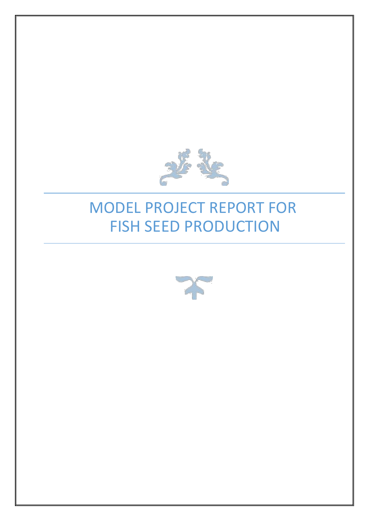

## MODEL PROJECT REPORT FOR FISH SEED PRODUCTION

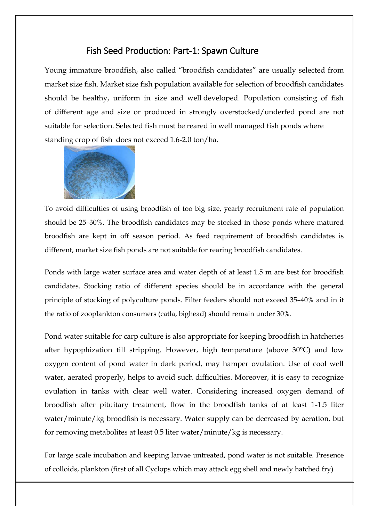## Fish Seed Production: Part-1: Spawn Culture

Young immature broodfish, also called "broodfish candidates" are usually selected from market size fish. Market size fish population available for selection of broodfish candidates should be healthy, uniform in size and well developed. Population consisting of fish of different age and size or produced in strongly overstocked/underfed pond are not suitable for selection. Selected fish must be reared in well managed fish ponds where standing crop of fish does not exceed 1.6-2.0 ton/ha.



To avoid difficulties of using broodfish of too big size, yearly recruitment rate of population should be 25–30%. The broodfish candidates may be stocked in those ponds where matured broodfish are kept in off season period. As feed requirement of broodfish candidates is different, market size fish ponds are not suitable for rearing broodfish candidates.

Ponds with large water surface area and water depth of at least 1.5 m are best for broodfish candidates. Stocking ratio of different species should be in accordance with the general principle of stocking of polyculture ponds. Filter feeders should not exceed 35–40% and in it the ratio of zooplankton consumers (catla, bighead) should remain under 30%.

Pond water suitable for carp culture is also appropriate for keeping broodfish in hatcheries after hypophization till stripping. However, high temperature (above 30°C) and low oxygen content of pond water in dark period, may hamper ovulation. Use of cool well water, aerated properly, helps to avoid such difficulties. Moreover, it is easy to recognize ovulation in tanks with clear well water. Considering increased oxygen demand of broodfish after pituitary treatment, flow in the broodfish tanks of at least 1-1.5 liter water/minute/kg broodfish is necessary. Water supply can be decreased by aeration, but for removing metabolites at least 0.5 liter water/minute/kg is necessary.

For large scale incubation and keeping larvae untreated, pond water is not suitable. Presence of colloids, plankton (first of all Cyclops which may attack egg shell and newly hatched fry)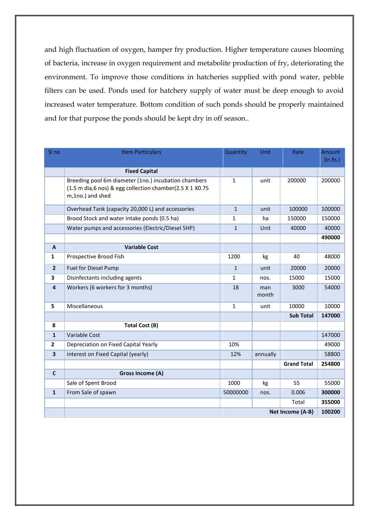and high fluctuation of oxygen, hamper fry production. Higher temperature causes blooming of bacteria, increase in oxygen requirement and metabolite production of fry, deteriorating the environment. To improve those conditions in hatcheries supplied with pond water, pebble filters can be used. Ponds used for hatchery supply of water must be deep enough to avoid increased water temperature. Bottom condition of such ponds should be properly maintained and for that purpose the ponds should be kept dry in off season..

| SI no          | <b>Item Particulars</b>                                                                                                              | Quantity     | Unit         | Rate               | Amount   |  |  |
|----------------|--------------------------------------------------------------------------------------------------------------------------------------|--------------|--------------|--------------------|----------|--|--|
|                |                                                                                                                                      |              |              |                    | (in Rs.) |  |  |
|                | <b>Fixed Capital</b>                                                                                                                 |              |              |                    |          |  |  |
|                | Breeding pool 6m diameter (1no.) incubation chambers<br>(1.5 m dia,6 nos) & egg collection chamber(2.5 X 1 X0.75<br>m,1no.) and shed | $\mathbf{1}$ | unit         | 200000             | 200000   |  |  |
|                | Overhead Tank (capacity 20,000 L) and accessories                                                                                    | $\mathbf{1}$ | unit         | 100000             | 100000   |  |  |
|                | Brood Stock and water intake ponds (0.5 ha)                                                                                          | $\mathbf{1}$ | ha           | 150000             | 150000   |  |  |
|                | Water pumps and accessories (Electric/Diesel 5HP)                                                                                    | $\mathbf{1}$ | <b>Unit</b>  | 40000              | 40000    |  |  |
|                |                                                                                                                                      |              |              |                    | 490000   |  |  |
| $\mathbf{A}$   | <b>Variable Cost</b>                                                                                                                 |              |              |                    |          |  |  |
| $\mathbf{1}$   | Prospective Brood Fish                                                                                                               | 1200         | kg           | 40                 | 48000    |  |  |
| $\overline{2}$ | <b>Fuel for Diesel Pump</b>                                                                                                          | $\mathbf{1}$ | unit         | 20000              | 20000    |  |  |
| 3              | Disinfectants including agents                                                                                                       | $\mathbf{1}$ | nos.         | 15000              | 15000    |  |  |
| 4              | Workers (6 workers for 3 months)                                                                                                     | 18           | man<br>month | 3000               | 54000    |  |  |
| 5              | Miscellaneous                                                                                                                        | $1\,$        | unit         | 10000              | 10000    |  |  |
|                |                                                                                                                                      |              |              | <b>Sub Total</b>   | 147000   |  |  |
| B              | <b>Total Cost (B)</b>                                                                                                                |              |              |                    |          |  |  |
| $\mathbf{1}$   | <b>Variable Cost</b>                                                                                                                 |              |              |                    | 147000   |  |  |
| $\overline{2}$ | Depreciation on Fixed Capital Yearly                                                                                                 | 10%          |              |                    | 49000    |  |  |
| 3              | interest on Fixed Capital (yearly)                                                                                                   | 12%          | annually     |                    | 58800    |  |  |
|                |                                                                                                                                      |              |              | <b>Grand Total</b> | 254800   |  |  |
| $\mathsf{C}$   | Gross Income (A)                                                                                                                     |              |              |                    |          |  |  |
|                | Sale of Spent Brood                                                                                                                  | 1000         | kg           | 55                 | 55000    |  |  |
| $\mathbf{1}$   | From Sale of spawn                                                                                                                   | 50000000     | nos.         | 0.006              | 300000   |  |  |
|                |                                                                                                                                      |              |              | Total              | 355000   |  |  |
|                | Net Income (A-B)                                                                                                                     |              |              |                    |          |  |  |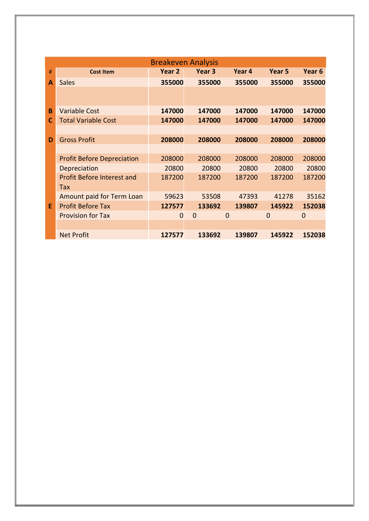|   | <b>Breakeven Analysis</b>         |          |                   |          |          |                   |  |  |
|---|-----------------------------------|----------|-------------------|----------|----------|-------------------|--|--|
| # | <b>Cost Item</b>                  | Year 2   | Year <sub>3</sub> | Year 4   | Year 5   | Year <sub>6</sub> |  |  |
| A | <b>Sales</b>                      | 355000   | 355000            | 355000   | 355000   | 355000            |  |  |
|   |                                   |          |                   |          |          |                   |  |  |
| B | <b>Variable Cost</b>              | 147000   | 147000            | 147000   | 147000   | 147000            |  |  |
| C | <b>Total Variable Cost</b>        | 147000   | 147000            | 147000   | 147000   | 147000            |  |  |
|   |                                   |          |                   |          |          |                   |  |  |
| D | <b>Gross Profit</b>               | 208000   | 208000            | 208000   | 208000   | 208000            |  |  |
|   |                                   |          |                   |          |          |                   |  |  |
|   | <b>Profit Before Depreciation</b> | 208000   | 208000            | 208000   | 208000   | 208000            |  |  |
|   | Depreciation                      | 20800    | 20800             | 20800    | 20800    | 20800             |  |  |
|   | <b>Profit Before Interest and</b> | 187200   | 187200            | 187200   | 187200   | 187200            |  |  |
|   | Tax                               |          |                   |          |          |                   |  |  |
|   | Amount paid for Term Loan         | 59623    | 53508             | 47393    | 41278    | 35162             |  |  |
| E | <b>Profit Before Tax</b>          | 127577   | 133692            | 139807   | 145922   | 152038            |  |  |
|   | <b>Provision for Tax</b>          | $\Omega$ | $\Omega$          | $\Omega$ | $\Omega$ | $\Omega$          |  |  |
|   |                                   |          |                   |          |          |                   |  |  |
|   | <b>Net Profit</b>                 | 127577   | 133692            | 139807   | 145922   | 152038            |  |  |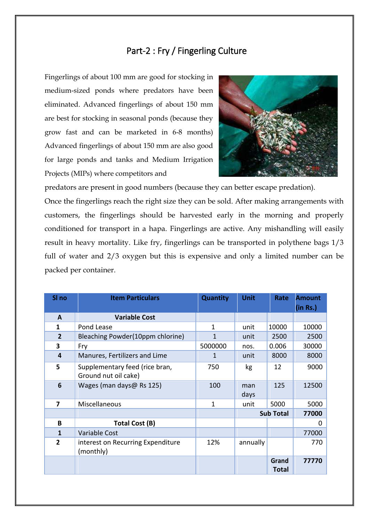## Part-2 : Fry / Fingerling Culture

Fingerlings of about 100 mm are good for stocking in medium-sized ponds where predators have been eliminated. Advanced fingerlings of about 150 mm are best for stocking in seasonal ponds (because they grow fast and can be marketed in 6-8 months) Advanced fingerlings of about 150 mm are also good for large ponds and tanks and Medium Irrigation Projects (MIPs) where competitors and



predators are present in good numbers (because they can better escape predation). Once the fingerlings reach the right size they can be sold. After making arrangements with customers, the fingerlings should be harvested early in the morning and properly conditioned for transport in a hapa. Fingerlings are active. Any mishandling will easily result in heavy mortality. Like fry, fingerlings can be transported in polythene bags 1/3 full of water and 2/3 oxygen but this is expensive and only a limited number can be packed per container.

| SI <sub>no</sub>        | <b>Item Particulars</b>                                | <b>Quantity</b> | <b>Unit</b>  | Rate                  | <b>Amount</b><br>(in Rs.) |
|-------------------------|--------------------------------------------------------|-----------------|--------------|-----------------------|---------------------------|
| A                       | <b>Variable Cost</b>                                   |                 |              |                       |                           |
| 1                       | Pond Lease                                             | $\mathbf{1}$    | unit         | 10000                 | 10000                     |
| $\overline{2}$          | Bleaching Powder(10ppm chlorine)                       | 1               | unit         | 2500                  | 2500                      |
| 3                       | Fry                                                    | 5000000         | nos.         | 0.006                 | 30000                     |
| 4                       | Manures, Fertilizers and Lime                          | 1               | unit         | 8000                  | 8000                      |
| 5                       | Supplementary feed (rice bran,<br>Ground nut oil cake) | 750             | kg           | 12                    | 9000                      |
| 6                       | Wages (man days@ Rs 125)                               | 100             | man<br>days  | 125                   | 12500                     |
| $\overline{\mathbf{z}}$ | Miscellaneous                                          | 1               | 5000<br>unit |                       | 5000                      |
|                         |                                                        |                 |              | <b>Sub Total</b>      | 77000                     |
| В                       | Total Cost (B)                                         |                 |              |                       | 0                         |
| $\mathbf{1}$            | <b>Variable Cost</b>                                   |                 |              |                       | 77000                     |
| $\mathbf{2}$            | interest on Recurring Expenditure<br>(monthly)         | 12%             | annually     |                       | 770                       |
|                         |                                                        |                 |              | Grand<br><b>Total</b> | 77770                     |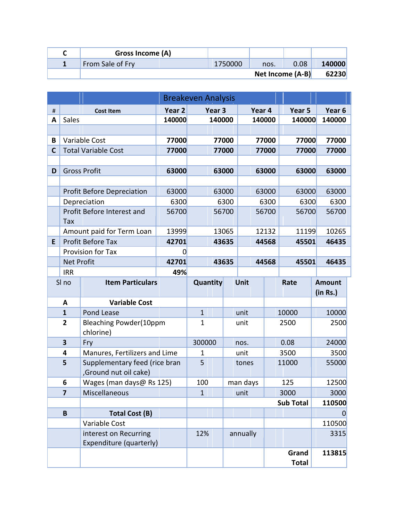| Gross Income (A) |         |                  |      |        |
|------------------|---------|------------------|------|--------|
| From Sale of Fry | 1750000 | nos.             | 0.08 | 140000 |
|                  |         | Net Income (A-B) |      | 62230  |

|      |                         | <b>Breakeven Analysis</b>                              |                   |              |                   |       |          |        |                  |  |                   |
|------|-------------------------|--------------------------------------------------------|-------------------|--------------|-------------------|-------|----------|--------|------------------|--|-------------------|
| $\#$ |                         | <b>Cost Item</b>                                       | Year <sub>2</sub> |              | Year <sub>3</sub> |       |          | Year 4 | Year 5           |  | Year <sub>6</sub> |
| Α    | Sales                   |                                                        | 140000            |              | 140000            |       |          | 140000 | 140000           |  | 140000            |
|      |                         |                                                        |                   |              |                   |       |          |        |                  |  |                   |
| В    |                         | Variable Cost                                          | 77000             |              |                   | 77000 |          | 77000  | 77000            |  | 77000             |
| C    |                         | <b>Total Variable Cost</b>                             | 77000             |              |                   | 77000 |          | 77000  | 77000            |  | 77000             |
|      |                         |                                                        |                   |              |                   |       |          |        |                  |  |                   |
| D    |                         | <b>Gross Profit</b>                                    | 63000             |              |                   | 63000 |          | 63000  | 63000            |  | 63000             |
|      |                         |                                                        |                   |              |                   |       |          |        |                  |  |                   |
|      |                         | <b>Profit Before Depreciation</b>                      | 63000             |              |                   | 63000 |          | 63000  | 63000            |  | 63000             |
|      |                         | Depreciation                                           | 6300              |              |                   | 6300  |          | 6300   | 6300             |  | 6300              |
|      | Tax                     | Profit Before Interest and                             | 56700             |              |                   | 56700 |          | 56700  | 56700            |  | 56700             |
|      |                         | Amount paid for Term Loan                              | 13999             |              |                   | 13065 |          | 12132  | 11199            |  | 10265             |
| E    |                         | <b>Profit Before Tax</b>                               | 42701             |              |                   | 43635 |          | 44568  | 45501            |  | 46435             |
|      |                         | Provision for Tax                                      | $\overline{0}$    |              |                   |       |          |        |                  |  |                   |
|      | <b>Net Profit</b>       |                                                        | 42701             | 43635        |                   |       |          | 44568  | 45501            |  | 46435             |
|      | <b>IRR</b>              |                                                        | 49%               |              |                   |       |          |        |                  |  |                   |
|      | SI no                   | <b>Item Particulars</b>                                |                   |              | Quantity          |       | Unit     |        | Rate             |  | <b>Amount</b>     |
|      |                         |                                                        |                   |              |                   |       |          |        |                  |  | (in Rs.)          |
|      | A                       | <b>Variable Cost</b>                                   |                   |              |                   |       |          |        |                  |  |                   |
|      | $\mathbf{1}$            | <b>Pond Lease</b>                                      |                   | $\mathbf{1}$ |                   |       | unit     |        | 10000            |  | 10000             |
|      | $\overline{2}$          | <b>Bleaching Powder(10ppm</b><br>chlorine)             |                   | $\mathbf{1}$ |                   |       | unit     |        | 2500             |  | 2500              |
|      | $\overline{\mathbf{3}}$ | Fry                                                    |                   | 300000       |                   |       | nos.     |        | 0.08             |  | 24000             |
|      | 4                       | Manures, Fertilizers and Lime                          |                   | 1            |                   |       | unit     |        | 3500             |  | 3500              |
|      | 5                       | Supplementary feed (rice bran<br>,Ground nut oil cake) |                   | 5            |                   |       | tones    |        | 11000            |  | 55000             |
|      | 6                       | Wages (man days@ Rs 125)                               |                   | 100          |                   |       | man days |        | 125              |  | 12500             |
|      | $\overline{7}$          | Miscellaneous                                          |                   | $\mathbf{1}$ |                   |       | unit     |        | 3000             |  | 3000              |
|      |                         |                                                        |                   |              |                   |       |          |        | <b>Sub Total</b> |  | 110500            |
|      | $\mathbf B$             | Total Cost (B)                                         |                   |              |                   |       |          |        |                  |  | 0                 |
|      |                         | Variable Cost                                          |                   |              |                   |       |          |        |                  |  | 110500            |
|      |                         | interest on Recurring                                  |                   | 12%          |                   |       | annually |        |                  |  | 3315              |
|      |                         | Expenditure (quarterly)                                |                   |              |                   |       |          |        |                  |  |                   |
|      |                         |                                                        |                   |              |                   |       |          |        | Grand            |  | 113815            |
|      |                         |                                                        |                   |              |                   |       |          |        | <b>Total</b>     |  |                   |